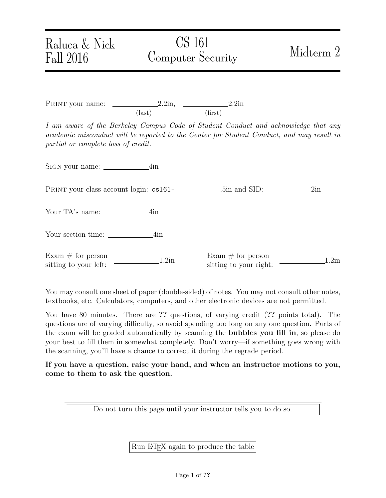## Raluca & Nick Fall 2016

# CS 161 Computer Security Midterm 2

PRINT your name:  $2.2in$ ,  $2.2in$ ,  $2.2in$ (last) (first)

I am aware of the Berkeley Campus Code of Student Conduct and acknowledge that any academic misconduct will be reported to the Center for Student Conduct, and may result in partial or complete loss of credit.

Sign your name: 4in

Print your class account login: cs161- .5in and SID: 2in

Your TA's name: 4in

Your section time: 4in

Exam  $\#$  for person Exam  $\#$  for person<br>sitting to your left:  $\frac{1.2\text{ln}}{\text{stting to your right}}$ 

 $\frac{1.2 \text{ln}}{1.2 \text{ln}}$  sitting to your right:  $\frac{1.2 \text{ln}}{1.2 \text{ln}}$ 

You may consult one sheet of paper (double-sided) of notes. You may not consult other notes, textbooks, etc. Calculators, computers, and other electronic devices are not permitted.

You have 80 minutes. There are ?? questions, of varying credit (?? points total). The questions are of varying difficulty, so avoid spending too long on any one question. Parts of the exam will be graded automatically by scanning the bubbles you fill in, so please do your best to fill them in somewhat completely. Don't worry—if something goes wrong with the scanning, you'll have a chance to correct it during the regrade period.

If you have a question, raise your hand, and when an instructor motions to you, come to them to ask the question.

Do not turn this page until your instructor tells you to do so.

Run LATEX again to produce the table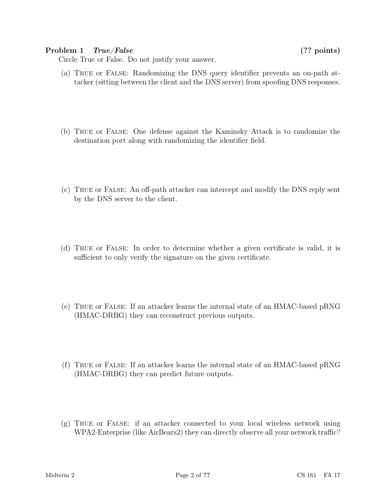#### Problem 1 True/False (?? points)

Circle True or False. Do not justify your answer.

- (a) True or False: Randomizing the DNS query identifier prevents an on-path attacker (sitting between the client and the DNS server) from spoofing DNS responses.
- (b) True or False: One defense against the Kaminsky Attack is to randomize the destination port along with randomizing the identifier field.
- (c) True or False: An off-path attacker can intercept and modify the DNS reply sent by the DNS server to the client.
- (d) True or False: In order to determine whether a given certificate is valid, it is sufficient to only verify the signature on the given certificate.
- (e) True or False: If an attacker learns the internal state of an HMAC-based pRNG (HMAC-DRBG) they can reconstruct previous outputs.
- (f) True or False: If an attacker learns the internal state of an HMAC-based pRNG (HMAC-DRBG) they can predict future outputs.
- (g) True or False: if an attacker connected to your local wireless network using WPA2-Enterprise (like AirBears2) they can directly observe all your network traffic?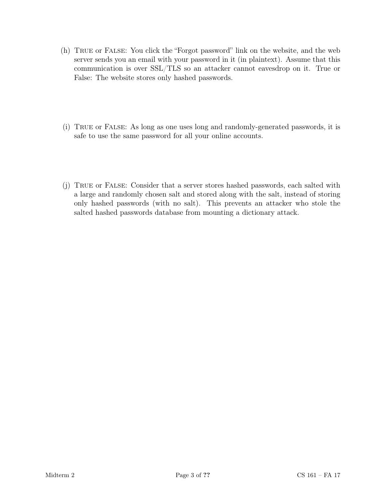- (h) True or False: You click the "Forgot password" link on the website, and the web server sends you an email with your password in it (in plaintext). Assume that this communication is over SSL/TLS so an attacker cannot eavesdrop on it. True or False: The website stores only hashed passwords.
- (i) True or False: As long as one uses long and randomly-generated passwords, it is safe to use the same password for all your online accounts.
- (j) True or False: Consider that a server stores hashed passwords, each salted with a large and randomly chosen salt and stored along with the salt, instead of storing only hashed passwords (with no salt). This prevents an attacker who stole the salted hashed passwords database from mounting a dictionary attack.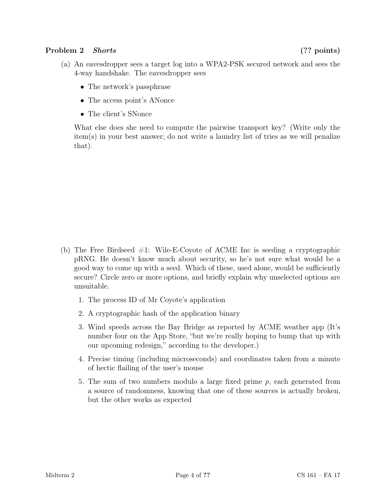### Problem 2 Shorts (?? points)

- (a) An eavesdropper sees a target log into a WPA2-PSK secured network and sees the 4-way handshake. The eavesdropper sees
	- The network's passphrase
	- The access point's ANonce
	- The client's SNonce

What else does she need to compute the pairwise transport key? (Write only the item(s) in your best answer; do not write a laundry list of tries as we will penalize that).

- (b) The Free Birdseed  $\#1$ : Wile-E-Coyote of ACME Inc is seeding a cryptographic pRNG. He doesn't know much about security, so he's not sure what would be a good way to come up with a seed. Which of these, used alone, would be sufficiently secure? Circle zero or more options, and briefly explain why unselected options are unsuitable.
	- 1. The process ID of Mr Coyote's application
	- 2. A cryptographic hash of the application binary
	- 3. Wind speeds across the Bay Bridge as reported by ACME weather app (It's number four on the App Store, "but we're really hoping to bump that up with our upcoming redesign," according to the developer.)
	- 4. Precise timing (including microseconds) and coordinates taken from a minute of hectic flailing of the user's mouse
	- 5. The sum of two numbers modulo a large fixed prime  $p$ , each generated from a source of randomness, knowing that one of these sources is actually broken, but the other works as expected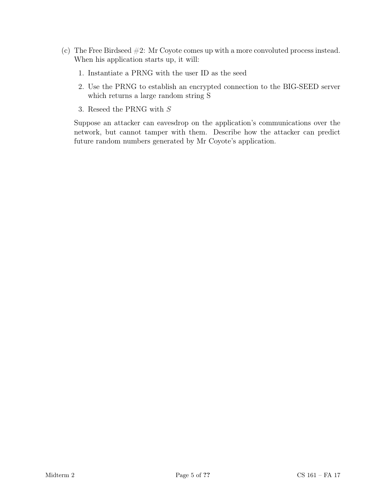- (c) The Free Birdseed #2: Mr Coyote comes up with a more convoluted process instead. When his application starts up, it will:
	- 1. Instantiate a PRNG with the user ID as the seed
	- 2. Use the PRNG to establish an encrypted connection to the BIG-SEED server which returns a large random string S
	- 3. Reseed the PRNG with S

Suppose an attacker can eavesdrop on the application's communications over the network, but cannot tamper with them. Describe how the attacker can predict future random numbers generated by Mr Coyote's application.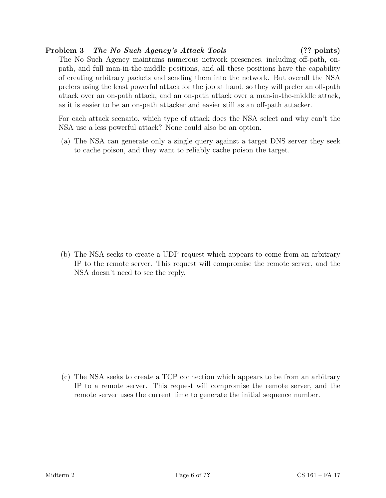#### Problem 3 The No Such Agency's Attack Tools (?? points)

The No Such Agency maintains numerous network presences, including off-path, onpath, and full man-in-the-middle positions, and all these positions have the capability of creating arbitrary packets and sending them into the network. But overall the NSA prefers using the least powerful attack for the job at hand, so they will prefer an off-path attack over an on-path attack, and an on-path attack over a man-in-the-middle attack, as it is easier to be an on-path attacker and easier still as an off-path attacker.

For each attack scenario, which type of attack does the NSA select and why can't the NSA use a less powerful attack? None could also be an option.

(a) The NSA can generate only a single query against a target DNS server they seek to cache poison, and they want to reliably cache poison the target.

(b) The NSA seeks to create a UDP request which appears to come from an arbitrary IP to the remote server. This request will compromise the remote server, and the NSA doesn't need to see the reply.

(c) The NSA seeks to create a TCP connection which appears to be from an arbitrary IP to a remote server. This request will compromise the remote server, and the remote server uses the current time to generate the initial sequence number.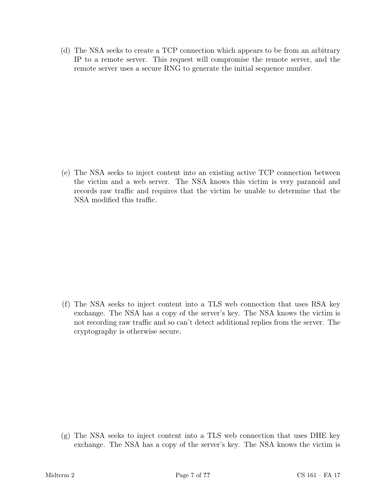(d) The NSA seeks to create a TCP connection which appears to be from an arbitrary IP to a remote server. This request will compromise the remote server, and the remote server uses a secure RNG to generate the initial sequence number.

(e) The NSA seeks to inject content into an existing active TCP connection between the victim and a web server. The NSA knows this victim is very paranoid and records raw traffic and requires that the victim be unable to determine that the NSA modified this traffic.

(f) The NSA seeks to inject content into a TLS web connection that uses RSA key exchange. The NSA has a copy of the server's key. The NSA knows the victim is not recording raw traffic and so can't detect additional replies from the server. The cryptography is otherwise secure.

(g) The NSA seeks to inject content into a TLS web connection that uses DHE key exchange. The NSA has a copy of the server's key. The NSA knows the victim is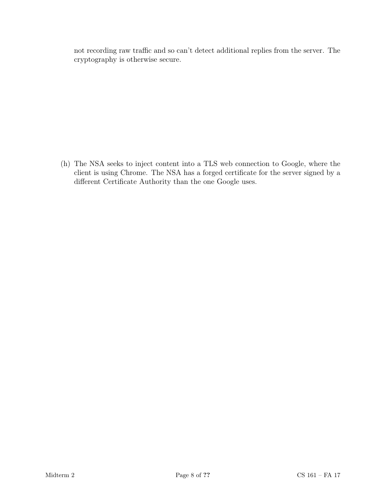not recording raw traffic and so can't detect additional replies from the server. The cryptography is otherwise secure.

(h) The NSA seeks to inject content into a TLS web connection to Google, where the client is using Chrome. The NSA has a forged certificate for the server signed by a different Certificate Authority than the one Google uses.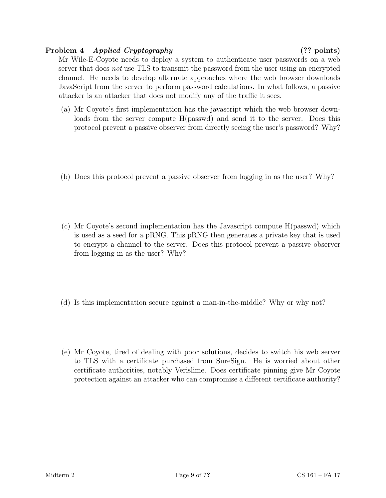#### Problem 4 Applied Cryptography (?? points)

Mr Wile-E-Coyote needs to deploy a system to authenticate user passwords on a web server that does *not* use TLS to transmit the password from the user using an encrypted channel. He needs to develop alternate approaches where the web browser downloads JavaScript from the server to perform password calculations. In what follows, a passive attacker is an attacker that does not modify any of the traffic it sees.

- (a) Mr Coyote's first implementation has the javascript which the web browser downloads from the server compute H(passwd) and send it to the server. Does this protocol prevent a passive observer from directly seeing the user's password? Why?
- (b) Does this protocol prevent a passive observer from logging in as the user? Why?
- (c) Mr Coyote's second implementation has the Javascript compute H(passwd) which is used as a seed for a pRNG. This pRNG then generates a private key that is used to encrypt a channel to the server. Does this protocol prevent a passive observer from logging in as the user? Why?
- (d) Is this implementation secure against a man-in-the-middle? Why or why not?
- (e) Mr Coyote, tired of dealing with poor solutions, decides to switch his web server to TLS with a certificate purchased from SureSign. He is worried about other certificate authorities, notably Verislime. Does certificate pinning give Mr Coyote protection against an attacker who can compromise a different certificate authority?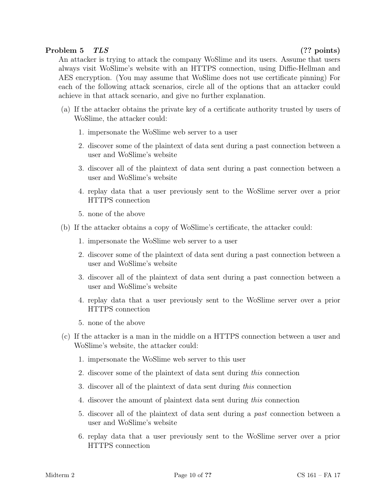#### Problem 5 TLS (?? points)

An attacker is trying to attack the company WoSlime and its users. Assume that users always visit WoSlime's website with an HTTPS connection, using Diffie-Hellman and AES encryption. (You may assume that WoSlime does not use certificate pinning) For each of the following attack scenarios, circle all of the options that an attacker could achieve in that attack scenario, and give no further explanation.

- (a) If the attacker obtains the private key of a certificate authority trusted by users of WoSlime, the attacker could:
	- 1. impersonate the WoSlime web server to a user
	- 2. discover some of the plaintext of data sent during a past connection between a user and WoSlime's website
	- 3. discover all of the plaintext of data sent during a past connection between a user and WoSlime's website
	- 4. replay data that a user previously sent to the WoSlime server over a prior HTTPS connection
	- 5. none of the above
- (b) If the attacker obtains a copy of WoSlime's certificate, the attacker could:
	- 1. impersonate the WoSlime web server to a user
	- 2. discover some of the plaintext of data sent during a past connection between a user and WoSlime's website
	- 3. discover all of the plaintext of data sent during a past connection between a user and WoSlime's website
	- 4. replay data that a user previously sent to the WoSlime server over a prior HTTPS connection
	- 5. none of the above
- (c) If the attacker is a man in the middle on a HTTPS connection between a user and WoSlime's website, the attacker could:
	- 1. impersonate the WoSlime web server to this user
	- 2. discover some of the plaintext of data sent during this connection
	- 3. discover all of the plaintext of data sent during this connection
	- 4. discover the amount of plaintext data sent during this connection
	- 5. discover all of the plaintext of data sent during a past connection between a user and WoSlime's website
	- 6. replay data that a user previously sent to the WoSlime server over a prior HTTPS connection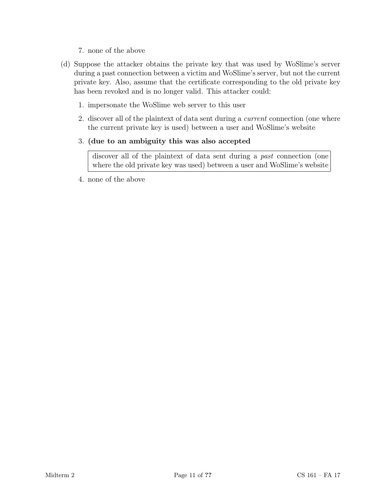- 7. none of the above
- (d) Suppose the attacker obtains the private key that was used by WoSlime's server during a past connection between a victim and WoSlime's server, but not the current private key. Also, assume that the certificate corresponding to the old private key has been revoked and is no longer valid. This attacker could:
	- 1. impersonate the WoSlime web server to this user
	- 2. discover all of the plaintext of data sent during a current connection (one where the current private key is used) between a user and WoSlime's website
	- 3. (due to an ambiguity this was also accepted

discover all of the plaintext of data sent during a *past* connection (one where the old private key was used) between a user and WoSlime's website

4. none of the above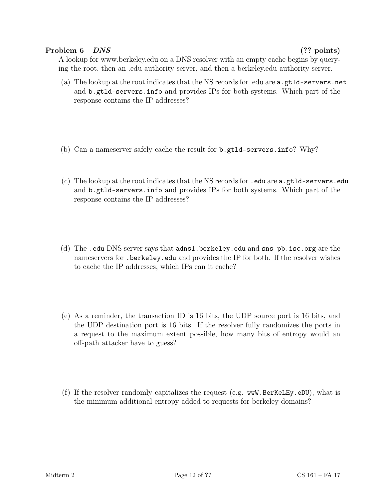#### Problem 6 DNS (?? points)

A lookup for www.berkeley.edu on a DNS resolver with an empty cache begins by querying the root, then an .edu authority server, and then a berkeley.edu authority server.

- (a) The lookup at the root indicates that the NS records for .edu are a.gtld-servers.net and b.gtld-servers.info and provides IPs for both systems. Which part of the response contains the IP addresses?
- (b) Can a nameserver safely cache the result for b.gtld-servers.info? Why?
- (c) The lookup at the root indicates that the NS records for .edu are a.gtld-servers.edu and b.gtld-servers.info and provides IPs for both systems. Which part of the response contains the IP addresses?
- (d) The .edu DNS server says that adns1.berkeley.edu and sns-pb.isc.org are the nameservers for .berkeley.edu and provides the IP for both. If the resolver wishes to cache the IP addresses, which IPs can it cache?
- (e) As a reminder, the transaction ID is 16 bits, the UDP source port is 16 bits, and the UDP destination port is 16 bits. If the resolver fully randomizes the ports in a request to the maximum extent possible, how many bits of entropy would an off-path attacker have to guess?
- (f) If the resolver randomly capitalizes the request (e.g. wwW.BerKeLEy.eDU), what is the minimum additional entropy added to requests for berkeley domains?